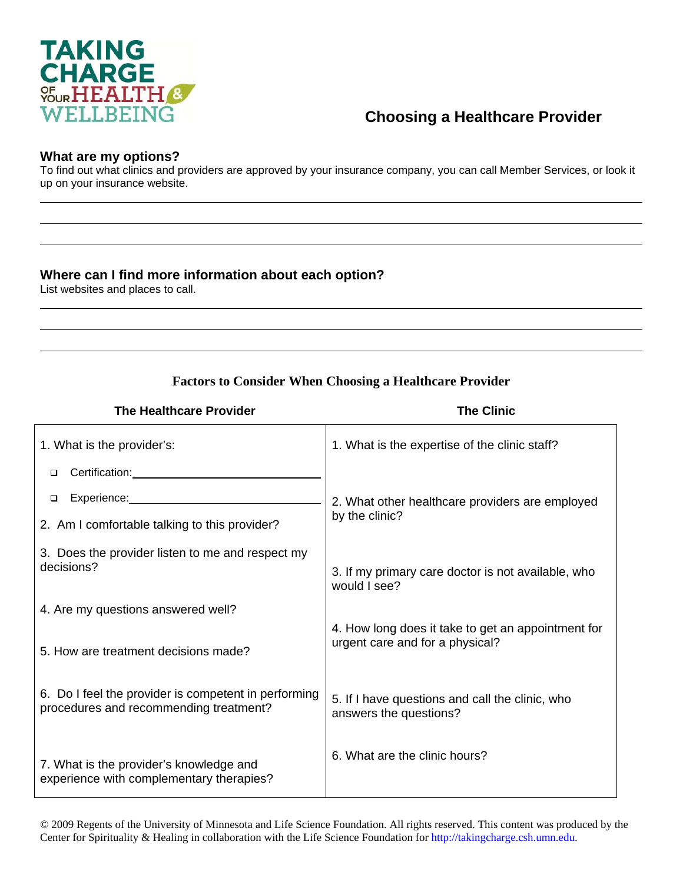

## **Choosing a Healthcare Provider**

## **What are my options?**

To find out what clinics and providers are approved by your insurance company, you can call Member Services, or look it up on your insurance website.

## **Where can I find more information about each option?**

List websites and places to call.

## **Factors to Consider When Choosing a Healthcare Provider**

| <b>The Healthcare Provider</b>                                                                                                                                                                                                      | <b>The Clinic</b>                                                                     |
|-------------------------------------------------------------------------------------------------------------------------------------------------------------------------------------------------------------------------------------|---------------------------------------------------------------------------------------|
| 1. What is the provider's:                                                                                                                                                                                                          | 1. What is the expertise of the clinic staff?                                         |
| Certification: <b>Example 2019</b><br>□                                                                                                                                                                                             |                                                                                       |
| Experience: The contract of the contract of the contract of the contract of the contract of the contract of the contract of the contract of the contract of the contract of the contract of the contract of the contract of th<br>□ | 2. What other healthcare providers are employed                                       |
| 2. Am I comfortable talking to this provider?                                                                                                                                                                                       | by the clinic?                                                                        |
| 3. Does the provider listen to me and respect my<br>decisions?                                                                                                                                                                      | 3. If my primary care doctor is not available, who<br>would I see?                    |
| 4. Are my questions answered well?                                                                                                                                                                                                  |                                                                                       |
| 5. How are treatment decisions made?                                                                                                                                                                                                | 4. How long does it take to get an appointment for<br>urgent care and for a physical? |
| 6. Do I feel the provider is competent in performing<br>procedures and recommending treatment?                                                                                                                                      | 5. If I have questions and call the clinic, who<br>answers the questions?             |
| 7. What is the provider's knowledge and<br>experience with complementary therapies?                                                                                                                                                 | 6. What are the clinic hours?                                                         |

© 2009 Regents of the University of Minnesota and Life Science Foundation. All rights reserved. This content was produced by the Center for Spirituality & Healing in collaboration with the Life Science Foundation for http://takingcharge.csh.umn.edu.